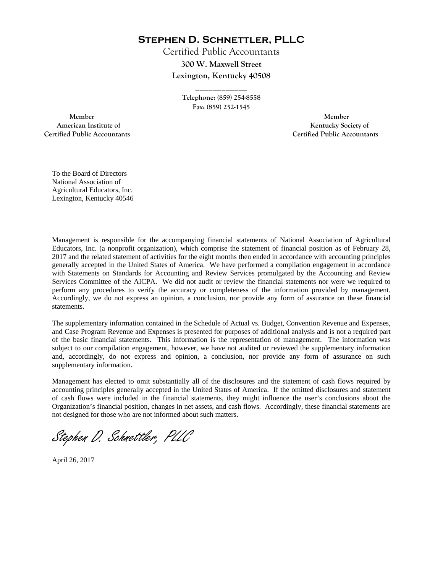**Stephen D. Schnettler, PLLC**

Certified Public Accountants **300 W. Maxwell Street Lexington, Kentucky 40508** 

> **Telephone: (859) 254-8558 Fax: (859) 252-1545**

**\_\_\_\_\_\_\_\_\_\_\_\_** 

 **Member Member Certified Public Accountants Certified Public Accountants** 

American Institute of **Kentucky Society of American Institute of** 

To the Board of Directors National Association of Agricultural Educators, Inc. Lexington, Kentucky 40546

Management is responsible for the accompanying financial statements of National Association of Agricultural Educators, Inc. (a nonprofit organization), which comprise the statement of financial position as of February 28, 2017 and the related statement of activities for the eight months then ended in accordance with accounting principles generally accepted in the United States of America. We have performed a compilation engagement in accordance with Statements on Standards for Accounting and Review Services promulgated by the Accounting and Review Services Committee of the AICPA. We did not audit or review the financial statements nor were we required to perform any procedures to verify the accuracy or completeness of the information provided by management. Accordingly, we do not express an opinion, a conclusion, nor provide any form of assurance on these financial statements.

The supplementary information contained in the Schedule of Actual vs. Budget, Convention Revenue and Expenses, and Case Program Revenue and Expenses is presented for purposes of additional analysis and is not a required part of the basic financial statements. This information is the representation of management. The information was subject to our compilation engagement, however, we have not audited or reviewed the supplementary information and, accordingly, do not express and opinion, a conclusion, nor provide any form of assurance on such supplementary information.

Management has elected to omit substantially all of the disclosures and the statement of cash flows required by accounting principles generally accepted in the United States of America. If the omitted disclosures and statement of cash flows were included in the financial statements, they might influence the user's conclusions about the Organization's financial position, changes in net assets, and cash flows. Accordingly, these financial statements are not designed for those who are not informed about such matters.

Stephen D. Schnettler, PLLC

April 26, 2017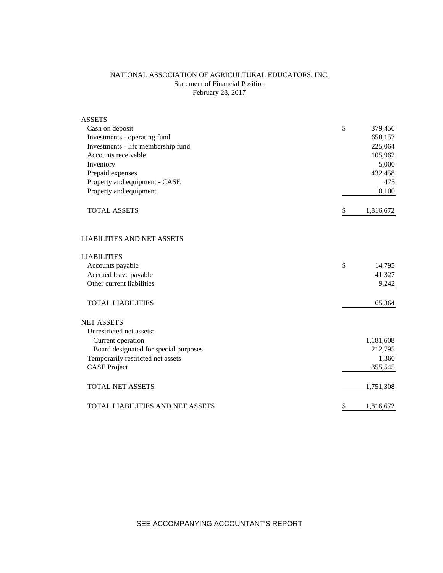## NATIONAL ASSOCIATION OF AGRICULTURAL EDUCATORS, INC. **Statement of Financial Position** February 28, 2017

| <b>ASSETS</b>                         |                 |
|---------------------------------------|-----------------|
| Cash on deposit                       | \$<br>379,456   |
| Investments - operating fund          | 658,157         |
| Investments - life membership fund    | 225,064         |
| Accounts receivable                   | 105,962         |
| Inventory                             | 5,000           |
| Prepaid expenses                      | 432,458         |
| Property and equipment - CASE         | 475             |
| Property and equipment                | 10,100          |
| <b>TOTAL ASSETS</b>                   | \$<br>1,816,672 |
| <b>LIABILITIES AND NET ASSETS</b>     |                 |
| <b>LIABILITIES</b>                    |                 |
| Accounts payable                      | \$<br>14,795    |
| Accrued leave payable                 | 41,327          |
| Other current liabilities             | 9,242           |
| <b>TOTAL LIABILITIES</b>              | 65,364          |
| <b>NET ASSETS</b>                     |                 |
| Unrestricted net assets:              |                 |
| Current operation                     | 1,181,608       |
| Board designated for special purposes | 212,795         |
| Temporarily restricted net assets     | 1,360           |
| <b>CASE Project</b>                   | 355,545         |
| <b>TOTAL NET ASSETS</b>               | 1,751,308       |
| TOTAL LIABILITIES AND NET ASSETS      | \$<br>1,816,672 |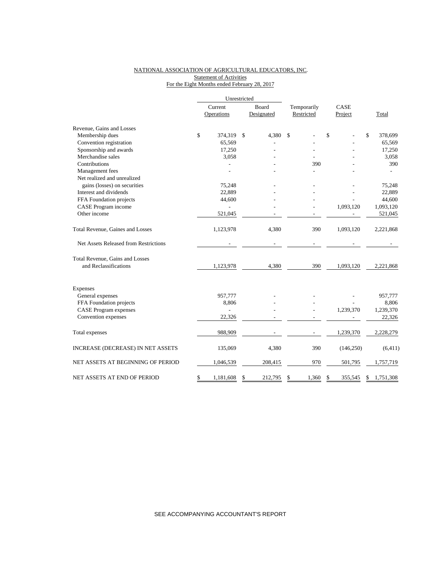## NATIONAL ASSOCIATION OF AGRICULTURAL EDUCATORS, INC. **Statement of Activities** For the Eight Months ended February 28, 2017

|                                       |         | Unrestricted   |    |            |             |    |            |                 |
|---------------------------------------|---------|----------------|----|------------|-------------|----|------------|-----------------|
|                                       | Current |                |    | Board      | Temporarily |    | CASE       |                 |
|                                       |         | Operations     |    | Designated | Restricted  |    | Project    | Total           |
| Revenue, Gains and Losses             |         |                |    |            |             |    |            |                 |
| Membership dues                       | \$      | 374,319        | \$ | 4,380      | \$          | \$ |            | \$<br>378,699   |
| Convention registration               |         | 65,569         |    |            |             |    |            | 65,569          |
| Sponsorship and awards                |         | 17,250         |    |            |             |    |            | 17,250          |
| Merchandise sales                     |         | 3,058          |    |            |             |    |            | 3,058           |
| Contributions                         |         |                |    |            | 390         |    |            | 390             |
| Management fees                       |         |                |    |            |             |    |            |                 |
| Net realized and unrealized           |         |                |    |            |             |    |            |                 |
| gains (losses) on securities          |         | 75,248         |    |            |             |    |            | 75,248          |
| Interest and dividends                |         | 22,889         |    |            |             |    |            | 22,889          |
| FFA Foundation projects               |         | 44,600         |    |            |             |    |            | 44,600          |
| CASE Program income                   |         |                |    |            |             |    | 1,093,120  | 1,093,120       |
| Other income                          |         | 521,045        |    |            |             |    |            | 521,045         |
| Total Revenue, Gaines and Losses      |         | 1,123,978      |    | 4,380      | 390         |    | 1,093,120  | 2,221,868       |
| Net Assets Released from Restrictions |         |                |    |            |             |    |            |                 |
| Total Revenue, Gains and Losses       |         |                |    |            |             |    |            |                 |
| and Reclassifications                 |         | 1,123,978      |    | 4,380      | 390         |    | 1,093,120  | 2,221,868       |
| Expenses                              |         |                |    |            |             |    |            |                 |
| General expenses                      |         | 957,777        |    |            |             |    |            | 957,777         |
| FFA Foundation projects               |         | 8,806          |    |            |             |    |            | 8,806           |
| <b>CASE Program expenses</b>          |         | $\overline{a}$ |    |            |             |    | 1,239,370  | 1,239,370       |
| Convention expenses                   |         | 22,326         |    |            |             |    |            | 22,326          |
| Total expenses                        |         | 988,909        |    |            |             |    | 1,239,370  | 2,228,279       |
| INCREASE (DECREASE) IN NET ASSETS     |         | 135,069        |    | 4,380      | 390         |    | (146, 250) | (6, 411)        |
| NET ASSETS AT BEGINNING OF PERIOD     |         | 1,046,539      |    | 208,415    | 970         |    | 501,795    | 1,757,719       |
| NET ASSETS AT END OF PERIOD           | \$      | 1,181,608      | \$ | 212,795    | \$<br>1,360 | \$ | 355,545    | \$<br>1,751,308 |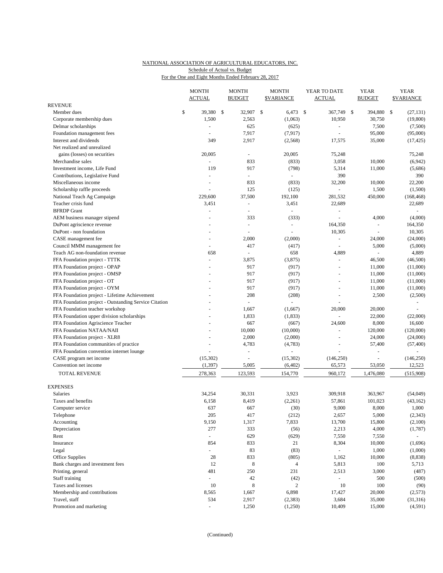# NATIONAL ASSOCIATION OF AGRICULTURAL EDUCATORS, INC. Schedule of Actual vs. Budget

|--|

|                                                       | <b>MONTH</b><br><b>ACTUAL</b> | <b>MONTH</b><br><b>BUDGET</b> |               | <b>MONTH</b><br><b>\$VARIANCE</b> | YEAR TO DATE<br><b>ACTUAL</b> |               | <b>YEAR</b><br><b>BUDGET</b> | <b>YEAR</b><br><b>\$VARIANCE</b> |
|-------------------------------------------------------|-------------------------------|-------------------------------|---------------|-----------------------------------|-------------------------------|---------------|------------------------------|----------------------------------|
| <b>REVENUE</b>                                        |                               |                               |               |                                   |                               |               |                              |                                  |
| Member dues                                           | \$<br>39,380 \$               | 32,907                        | $\mathcal{S}$ | $6,473$ \$                        | 367,749                       | $\mathcal{S}$ | 394,880                      | \$<br>(27, 131)                  |
| Corporate membership dues                             | 1,500                         | 2,563                         |               | (1,063)                           | 10,950                        |               | 30,750                       | (19,800)                         |
| Delmar scholarships                                   | ÷,                            | 625                           |               | (625)                             | $\overline{\phantom{a}}$      |               | 7,500                        | (7,500)                          |
| Foundation management fees                            | ÷.                            | 7,917                         |               | (7, 917)                          |                               |               | 95,000                       | (95,000)                         |
| Interest and dividends                                | 349                           | 2,917                         |               | (2,568)                           | 17,575                        |               | 35,000                       | (17, 425)                        |
| Net realized and unrealized                           |                               |                               |               |                                   |                               |               |                              |                                  |
| gains (losses) on securities                          | 20,005                        | $\omega$                      |               | 20,005                            | 75,248                        |               |                              | 75,248                           |
| Merchandise sales                                     | $\sim$                        | 833                           |               | (833)                             | 3,058                         |               | 10,000                       | (6,942)                          |
| Investment income, Life Fund                          | 119                           | 917                           |               | (798)                             | 5,314                         |               | 11,000                       | (5,686)                          |
| Contributions, Legislative Fund                       | ÷,                            | $\omega$                      |               | $\omega$                          | 390                           |               |                              | 390                              |
| Miscellaneous income                                  | ÷,                            | 833                           |               | (833)                             | 32,200                        |               | 10,000                       | 22,200                           |
| Scholarship raffle proceeds                           |                               | 125                           |               | (125)                             |                               |               | 1,500                        | (1,500)                          |
|                                                       | 229,600                       | 37,500                        |               |                                   |                               |               |                              |                                  |
| National Teach Ag Campaign                            |                               |                               |               | 192,100                           | 281,532                       |               | 450,000                      | (168, 468)                       |
| Teacher crisis fund                                   | 3,451                         | $\omega$                      |               | 3,451                             | 22,689                        |               |                              | 22,689                           |
| <b>BFRDP</b> Grant                                    | ÷,                            | ÷,                            |               | ÷,                                | $\overline{\phantom{a}}$      |               |                              | $\bar{a}$                        |
| AEM business manager stipend                          |                               | 333                           |               | (333)                             |                               |               | 4,000                        | (4,000)                          |
| DuPont agriscience revenue                            | $\overline{\phantom{a}}$      | ÷,                            |               | ÷,                                | 164,350                       |               | ÷,                           | 164,350                          |
| DuPont - non foundation                               |                               |                               |               | ÷,                                | 10,305                        |               | ÷,                           | 10,305                           |
| CASE management fee                                   | $\overline{a}$                | 2,000                         |               | (2,000)                           | ÷,                            |               | 24,000                       | (24,000)                         |
| Council MMM management fee                            | $\overline{\phantom{a}}$      | 417                           |               | (417)                             | L,                            |               | 5,000                        | (5,000)                          |
| Teach AG non-foundation revenue                       | 658                           |                               |               | 658                               | 4,889                         |               | L.                           | 4,889                            |
| FFA Foundation project - TTTK                         | ÷,                            | 3,875                         |               | (3,875)                           |                               |               | 46.500                       | (46,500)                         |
| FFA Foundation project - OPAP                         |                               | 917                           |               | (917)                             | $\blacksquare$                |               | 11,000                       | (11,000)                         |
| FFA Foundation project - OMSP                         |                               | 917                           |               | (917)                             |                               |               | 11,000                       | (11,000)                         |
| FFA Foundation project - OT                           |                               | 917                           |               | (917)                             | $\blacksquare$                |               | 11,000                       | (11,000)                         |
| FFA Foundation project - OYM                          |                               | 917                           |               | (917)                             |                               |               | 11,000                       | (11,000)                         |
| FFA Foundation project - Lifetime Achievement         |                               | 208                           |               | (208)                             | $\equiv$                      |               | 2,500                        | (2,500)                          |
| FFA Foundation project - Outstanding Service Citation |                               | $\omega$                      |               | $\overline{a}$                    |                               |               |                              |                                  |
|                                                       |                               |                               |               |                                   |                               |               |                              |                                  |
| FFA Foundation teacher workshop                       |                               | 1,667                         |               | (1,667)                           | 20,000                        |               | 20,000                       |                                  |
| FFA Foundation upper division scholarships            |                               | 1,833                         |               | (1,833)                           |                               |               | 22,000                       | (22,000)                         |
| FFA Foundation Agriscience Teacher                    |                               | 667                           |               | (667)                             | 24,600                        |               | 8,000                        | 16,600                           |
| FFA Foundation NATAA/NAII                             |                               | 10,000                        |               | (10,000)                          | ÷,                            |               | 120,000                      | (120,000)                        |
| FFA Foundation project - XLR8                         |                               | 2,000                         |               | (2,000)                           | $\bar{a}$                     |               | 24,000                       | (24,000)                         |
| FFA Foundation communities of practice                |                               | 4,783                         |               | (4,783)                           |                               |               | 57,400                       | (57, 400)                        |
| FFA Foundation convention internet lounge             |                               |                               |               |                                   |                               |               | L,                           |                                  |
| CASE program net income                               | (15,302)                      | ÷,                            |               | (15,302)                          | (146, 250)                    |               | $\overline{a}$               | (146, 250)                       |
| Convention net income                                 | (1, 397)                      | 5,005                         |               | (6, 402)                          | 65,573                        |               | 53,050                       | 12,523                           |
| <b>TOTAL REVENUE</b>                                  | 278,363                       | 123,593                       |               | 154,770                           | 960,172                       |               | 1,476,080                    | (515,908)                        |
| <b>EXPENSES</b>                                       |                               |                               |               |                                   |                               |               |                              |                                  |
| <b>Salaries</b>                                       | 34,254                        | 30,331                        |               | 3,923                             | 309,918                       |               | 363,967                      | (54,049)                         |
| Taxes and benefits                                    | 6,158                         | 8,419                         |               | (2,261)                           |                               |               |                              |                                  |
|                                                       |                               |                               |               |                                   | 57,861                        |               | 101,023                      | (43, 162)                        |
| Computer service                                      | 637                           | 667                           |               | (30)                              | 9,000                         |               | 8,000                        | 1,000                            |
| Telephone                                             | 205                           | 417                           |               | (212)                             | 2,657                         |               | 5,000                        | (2, 343)                         |
| Accounting                                            | 9,150                         | 1,317                         |               | 7,833                             | 13,700                        |               | 15,800                       | (2,100)                          |
| Depreciation                                          | 277                           | 333                           |               | (56)                              | 2,213                         |               | 4,000                        | (1,787)                          |
| Rent                                                  | $\blacksquare$                | 629                           |               | (629)                             | 7,550                         |               | 7,550                        | $\omega$                         |
| Insurance                                             | 854                           | 833                           |               | 21                                | 8,304                         |               | 10,000                       | (1,696)                          |
| Legal                                                 | $\blacksquare$                | 83                            |               | (83)                              | $\omega_{\rm c}$              |               | 1,000                        | (1,000)                          |
| Office Supplies                                       | 28                            | 833                           |               | (805)                             | 1,162                         |               | 10,000                       | (8, 838)                         |
| Bank charges and investment fees                      | 12                            | $\,8\,$                       |               | $\overline{4}$                    | 5,813                         |               | 100                          | 5,713                            |
| Printing, general                                     | 481                           | 250                           |               | 231                               | 2,513                         |               | 3,000                        | (487)                            |
| Staff training                                        | $\blacksquare$                | $42\,$                        |               | (42)                              | $\sim$                        |               | 500                          | (500)                            |
| Taxes and licenses                                    | 10                            | $\,$ 8 $\,$                   |               | $\overline{c}$                    | 10                            |               | 100                          | (90)                             |
| Membership and contributions                          | 8,565                         | 1,667                         |               | 6,898                             | 17,427                        |               | 20,000                       | (2,573)                          |
| Travel, staff                                         | 534                           | 2,917                         |               | (2, 383)                          | 3,684                         |               | 35,000                       | (31,316)                         |
|                                                       |                               |                               |               |                                   |                               |               |                              |                                  |
| Promotion and marketing                               | $\omega$                      | 1,250                         |               | (1,250)                           | 10,409                        |               | 15,000                       | (4,591)                          |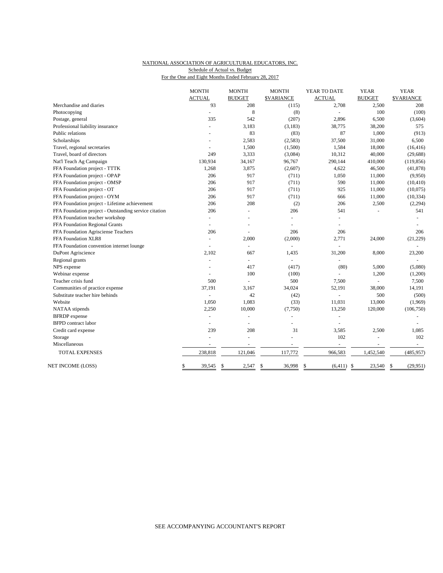## NATIONAL ASSOCIATION OF AGRICULTURAL EDUCATORS, INC. For the One and Eight Months Ended February 28, 2017 Schedule of Actual vs. Budget

| <b>ACTUAL</b><br><b>BUDGET</b><br>93<br>Merchandise and diaries<br>Photocopying<br>$\overline{a}$<br>Postage, general<br>335<br>Professional liability insurance<br>L.<br>Public relations<br>Scholarships<br>Travel, regional secretaries<br>$\sim$<br>Travel, board of directors<br>249 | <b>\$VARIANCE</b><br>208<br>8<br>542<br>3,183<br>83<br>2,583<br>1,500<br>3,333<br>34,167<br>3,875<br>917<br>917<br>917<br>917 | <b>ACTUAL</b><br>2,708<br>(115)<br>(8)<br>$\sim$<br>(207)<br>2,896<br>38,775<br>(3,183)<br>87<br>(83)<br>37,500<br>(2,583)<br>(1,500)<br>1,584<br>(3,084)<br>10,312<br>96,767<br>290,144<br>(2,607)<br>4,622<br>(711)<br>1,050<br>590<br>(711)<br>925<br>(711) | <b>BUDGET</b><br>2,500<br>100<br>6,500<br>38,200<br>1,000<br>31,000<br>18,000<br>40,000<br>410,000<br>46,500<br>11,000<br>11,000 | <b>\$VARIANCE</b><br>208<br>(100)<br>(3,604)<br>575<br>(913)<br>6,500<br>(16, 416)<br>(29, 688)<br>(119, 856)<br>(41, 878)<br>(9,950)<br>(10, 410) |
|-------------------------------------------------------------------------------------------------------------------------------------------------------------------------------------------------------------------------------------------------------------------------------------------|-------------------------------------------------------------------------------------------------------------------------------|----------------------------------------------------------------------------------------------------------------------------------------------------------------------------------------------------------------------------------------------------------------|----------------------------------------------------------------------------------------------------------------------------------|----------------------------------------------------------------------------------------------------------------------------------------------------|
|                                                                                                                                                                                                                                                                                           |                                                                                                                               |                                                                                                                                                                                                                                                                |                                                                                                                                  |                                                                                                                                                    |
|                                                                                                                                                                                                                                                                                           |                                                                                                                               |                                                                                                                                                                                                                                                                |                                                                                                                                  |                                                                                                                                                    |
|                                                                                                                                                                                                                                                                                           |                                                                                                                               |                                                                                                                                                                                                                                                                |                                                                                                                                  |                                                                                                                                                    |
|                                                                                                                                                                                                                                                                                           |                                                                                                                               |                                                                                                                                                                                                                                                                |                                                                                                                                  |                                                                                                                                                    |
|                                                                                                                                                                                                                                                                                           |                                                                                                                               |                                                                                                                                                                                                                                                                |                                                                                                                                  |                                                                                                                                                    |
|                                                                                                                                                                                                                                                                                           |                                                                                                                               |                                                                                                                                                                                                                                                                |                                                                                                                                  |                                                                                                                                                    |
|                                                                                                                                                                                                                                                                                           |                                                                                                                               |                                                                                                                                                                                                                                                                |                                                                                                                                  |                                                                                                                                                    |
|                                                                                                                                                                                                                                                                                           |                                                                                                                               |                                                                                                                                                                                                                                                                |                                                                                                                                  |                                                                                                                                                    |
|                                                                                                                                                                                                                                                                                           |                                                                                                                               |                                                                                                                                                                                                                                                                |                                                                                                                                  |                                                                                                                                                    |
| Nat'l Teach Ag Campaign<br>130,934                                                                                                                                                                                                                                                        |                                                                                                                               |                                                                                                                                                                                                                                                                |                                                                                                                                  |                                                                                                                                                    |
| FFA Foundation project - TTTK<br>1,268                                                                                                                                                                                                                                                    |                                                                                                                               |                                                                                                                                                                                                                                                                |                                                                                                                                  |                                                                                                                                                    |
| FFA Foundation project - OPAP<br>206                                                                                                                                                                                                                                                      |                                                                                                                               |                                                                                                                                                                                                                                                                |                                                                                                                                  |                                                                                                                                                    |
| 206<br>FFA Foundation project - OMSP                                                                                                                                                                                                                                                      |                                                                                                                               |                                                                                                                                                                                                                                                                |                                                                                                                                  |                                                                                                                                                    |
| FFA Foundation project - OT<br>206                                                                                                                                                                                                                                                        |                                                                                                                               |                                                                                                                                                                                                                                                                | 11,000                                                                                                                           | (10,075)                                                                                                                                           |
| FFA Foundation project - OYM<br>206                                                                                                                                                                                                                                                       |                                                                                                                               | (711)<br>666                                                                                                                                                                                                                                                   | 11,000                                                                                                                           | (10, 334)                                                                                                                                          |
| FFA Foundation project - Lifetime achievement<br>206                                                                                                                                                                                                                                      | 208                                                                                                                           | 206<br>(2)                                                                                                                                                                                                                                                     | 2,500                                                                                                                            | (2, 294)                                                                                                                                           |
| FFA Foundation project - Outstanding service citation<br>206                                                                                                                                                                                                                              | L.                                                                                                                            | 206<br>541                                                                                                                                                                                                                                                     |                                                                                                                                  | 541                                                                                                                                                |
| FFA Foundation teacher workshop<br>$\overline{\phantom{a}}$                                                                                                                                                                                                                               | $\overline{a}$                                                                                                                | $\blacksquare$<br>÷,                                                                                                                                                                                                                                           |                                                                                                                                  |                                                                                                                                                    |
| FFA Foundation Regional Grants<br>L.                                                                                                                                                                                                                                                      |                                                                                                                               | L,                                                                                                                                                                                                                                                             |                                                                                                                                  |                                                                                                                                                    |
| FFA Foundation Agrisciense Teachers<br>206                                                                                                                                                                                                                                                |                                                                                                                               | 206<br>206                                                                                                                                                                                                                                                     |                                                                                                                                  | 206                                                                                                                                                |
| FFA Foundation XLR8<br>$\blacksquare$                                                                                                                                                                                                                                                     | 2,000                                                                                                                         | (2,000)<br>2,771                                                                                                                                                                                                                                               | 24,000                                                                                                                           | (21, 229)                                                                                                                                          |
| FFA Foundation convention internet lounge                                                                                                                                                                                                                                                 | $\overline{a}$                                                                                                                | $\overline{a}$<br>L.                                                                                                                                                                                                                                           |                                                                                                                                  |                                                                                                                                                    |
| DuPont Agriscience<br>2,102                                                                                                                                                                                                                                                               | 667                                                                                                                           | 1,435<br>31,200                                                                                                                                                                                                                                                | 8,000                                                                                                                            | 23,200                                                                                                                                             |
| Regional grants<br>÷,                                                                                                                                                                                                                                                                     | $\overline{\phantom{a}}$                                                                                                      | $\overline{\phantom{a}}$<br>L,                                                                                                                                                                                                                                 |                                                                                                                                  |                                                                                                                                                    |
| NPS expense                                                                                                                                                                                                                                                                               | 417                                                                                                                           | (417)<br>(80)                                                                                                                                                                                                                                                  | 5,000                                                                                                                            | (5,080)                                                                                                                                            |
| Webinar expense                                                                                                                                                                                                                                                                           | 100                                                                                                                           | (100)                                                                                                                                                                                                                                                          | 1,200                                                                                                                            | (1,200)                                                                                                                                            |
| Teacher crisis fund<br>500                                                                                                                                                                                                                                                                | L.                                                                                                                            | 500<br>7,500                                                                                                                                                                                                                                                   |                                                                                                                                  | 7,500                                                                                                                                              |
| Communities of practice expense<br>37,191                                                                                                                                                                                                                                                 | 3,167                                                                                                                         | 34,024<br>52,191                                                                                                                                                                                                                                               | 38,000                                                                                                                           | 14,191                                                                                                                                             |
| Substitute teacher hire behinds                                                                                                                                                                                                                                                           | 42                                                                                                                            | (42)<br>÷,                                                                                                                                                                                                                                                     | 500                                                                                                                              | (500)                                                                                                                                              |
| Website<br>1,050                                                                                                                                                                                                                                                                          | 1,083                                                                                                                         | (33)<br>11,031                                                                                                                                                                                                                                                 | 13,000                                                                                                                           | (1,969)                                                                                                                                            |
| 2,250<br>NATAA stipends                                                                                                                                                                                                                                                                   | 10,000                                                                                                                        | (7,750)<br>13,250                                                                                                                                                                                                                                              | 120,000                                                                                                                          | (106, 750)                                                                                                                                         |
| <b>BFRDP</b> expense<br>$\blacksquare$                                                                                                                                                                                                                                                    | ÷,                                                                                                                            | ÷,                                                                                                                                                                                                                                                             |                                                                                                                                  |                                                                                                                                                    |
| <b>BFPD</b> contract labor<br>÷                                                                                                                                                                                                                                                           | $\overline{a}$                                                                                                                |                                                                                                                                                                                                                                                                |                                                                                                                                  |                                                                                                                                                    |
| Credit card expense<br>239                                                                                                                                                                                                                                                                | 208                                                                                                                           | 31<br>3,585                                                                                                                                                                                                                                                    | 2,500                                                                                                                            | 1,085                                                                                                                                              |
| Storage<br>÷,                                                                                                                                                                                                                                                                             | L.                                                                                                                            | 102<br>L,                                                                                                                                                                                                                                                      | ÷,                                                                                                                               | 102                                                                                                                                                |
| Miscellaneous                                                                                                                                                                                                                                                                             |                                                                                                                               | ÷,<br>÷                                                                                                                                                                                                                                                        | $\sim$                                                                                                                           | $\sim$                                                                                                                                             |
| 238,818<br><b>TOTAL EXPENSES</b>                                                                                                                                                                                                                                                          | 121,046<br>117,772                                                                                                            | 966,583                                                                                                                                                                                                                                                        | 1,452,540                                                                                                                        | (485, 957)                                                                                                                                         |
| NET INCOME (LOSS)<br>39,545<br>\$<br>\$                                                                                                                                                                                                                                                   | \$<br>36,998<br>2,547                                                                                                         | \$                                                                                                                                                                                                                                                             | $(6,411)$ \$<br>23,540                                                                                                           | (29, 951)<br>\$                                                                                                                                    |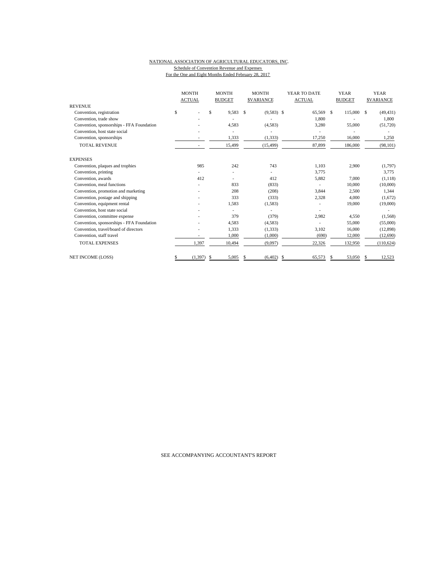#### NATIONAL ASSOCIATION OF AGRICULTURAL EDUCATORS, INC. Schedule of Convention Revenue and Expenses For the One and Eight Months Ended February 28, 2017

|                                           | <b>MONTH</b><br><b>ACTUAL</b> | <b>MONTH</b><br><b>BUDGET</b> | <b>MONTH</b><br><b>SVARIANCE</b> | YEAR TO DATE<br><b>ACTUAL</b> | <b>YEAR</b><br><b>BUDGET</b> | <b>YEAR</b><br><b>SVARIANCE</b> |
|-------------------------------------------|-------------------------------|-------------------------------|----------------------------------|-------------------------------|------------------------------|---------------------------------|
| <b>REVENUE</b>                            |                               |                               |                                  |                               |                              |                                 |
| Convention, registration                  | \$                            | \$<br>9,583                   | $\mathbf{s}$<br>$(9,583)$ \$     | 65,569                        | \$<br>115,000                | - S<br>(49, 431)                |
| Convention, trade show                    |                               |                               |                                  | 1.800                         |                              | 1.800                           |
| Convention, sponsorships - FFA Foundation |                               | 4,583                         | (4,583)                          | 3,280                         | 55,000                       | (51,720)                        |
| Convention, host state social             |                               |                               |                                  |                               |                              |                                 |
| Convention, sponsorships                  |                               | 1,333                         | (1, 333)                         | 17,250                        | 16,000                       | 1,250                           |
| <b>TOTAL REVENUE</b>                      |                               | 15,499                        | (15, 499)                        | 87,899                        | 186,000                      | (98, 101)                       |
| <b>EXPENSES</b>                           |                               |                               |                                  |                               |                              |                                 |
| Convention, plaques and trophies          | 985                           | 242                           | 743                              | 1.103                         | 2,900                        | (1,797)                         |
| Convention, printing                      |                               |                               |                                  | 3,775                         |                              | 3,775                           |
| Convention, awards                        | 412                           |                               | 412                              | 5,882                         | 7,000                        | (1, 118)                        |
| Convention, meal functions                |                               | 833                           | (833)                            |                               | 10,000                       | (10,000)                        |
| Convention, promotion and marketing       |                               | 208                           | (208)                            | 3,844                         | 2,500                        | 1,344                           |
| Convention, postage and shipping          |                               | 333                           | (333)                            | 2,328                         | 4,000                        | (1,672)                         |
| Convention, equipment rental              |                               | 1,583                         | (1,583)                          |                               | 19,000                       | (19,000)                        |
| Convention, host state social             |                               |                               |                                  |                               |                              |                                 |
| Convention, committee expense             |                               | 379                           | (379)                            | 2,982                         | 4,550                        | (1,568)                         |
| Convention, sponsorships - FFA Foundation |                               | 4,583                         | (4,583)                          |                               | 55,000                       | (55,000)                        |
| Convention, travel/board of directors     |                               | 1,333                         | (1, 333)                         | 3,102                         | 16,000                       | (12, 898)                       |
| Convention, staff travel                  |                               | 1,000                         | (1,000)                          | (690)                         | 12,000                       | (12,690)                        |
| <b>TOTAL EXPENSES</b>                     | 1,397                         | 10,494                        | (9,097)                          | 22,326                        | 132,950                      | (110, 624)                      |
| <b>NET INCOME (LOSS)</b>                  | (1, 397)<br>S                 | 5,005<br>S                    | (6, 402)<br>S                    | 65,573<br>\$                  | 53,050<br>\$                 | 12,523<br>S.                    |

SEE ACCOMPANYING ACCOUNTANT'S REPORT